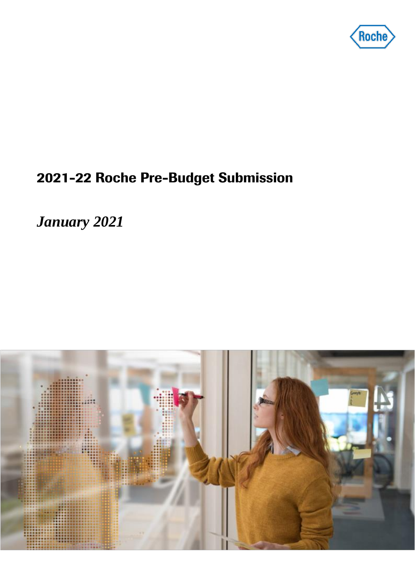

# 2021-22 Roche Pre-Budget Submission

*January 2021* 

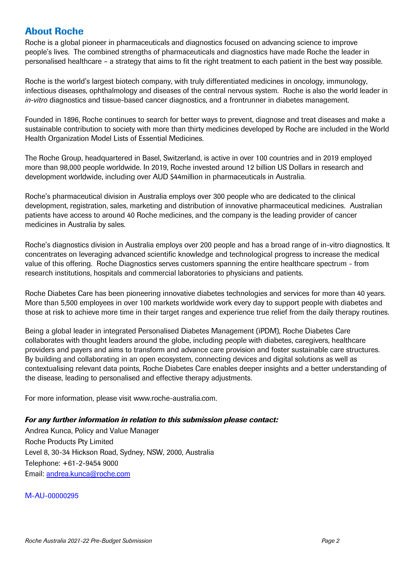## About Roche

Roche is a global pioneer in pharmaceuticals and diagnostics focused on advancing science to improve people's lives. The combined strengths of pharmaceuticals and diagnostics have made Roche the leader in personalised healthcare – a strategy that aims to fit the right treatment to each patient in the best way possible.

Roche is the world's largest biotech company, with truly differentiated medicines in oncology, immunology, infectious diseases, ophthalmology and diseases of the central nervous system. Roche is also the world leader in *in-vitro* diagnostics and tissue-based cancer diagnostics, and a frontrunner in diabetes management.

Founded in 1896, Roche continues to search for better ways to prevent, diagnose and treat diseases and make a sustainable contribution to society with more than thirty medicines developed by Roche are included in the World Health Organization Model Lists of Essential Medicines.

The Roche Group, headquartered in Basel, Switzerland, is active in over 100 countries and in 2019 employed more than 98,000 people worldwide. In 2019, Roche invested around 12 billion US Dollars in research and development worldwide, including over AUD \$44million in pharmaceuticals in Australia.

Roche's pharmaceutical division in Australia employs over 300 people who are dedicated to the clinical development, registration, sales, marketing and distribution of innovative pharmaceutical medicines. Australian patients have access to around 40 Roche medicines, and the company is the leading provider of cancer medicines in Australia by sales.

Roche's diagnostics division in Australia employs over 200 people and has a broad range of in-vitro diagnostics. It concentrates on leveraging advanced scientific knowledge and technological progress to increase the medical value of this offering. Roche Diagnostics serves customers spanning the entire healthcare spectrum - from research institutions, hospitals and commercial laboratories to physicians and patients.

Roche Diabetes Care has been pioneering innovative diabetes technologies and services for more than 40 years. More than 5,500 employees in over 100 markets worldwide work every day to support people with diabetes and those at risk to achieve more time in their target ranges and experience true relief from the daily therapy routines.

Being a global leader in integrated Personalised Diabetes Management (iPDM), Roche Diabetes Care collaborates with thought leaders around the globe, including people with diabetes, caregivers, healthcare providers and payers and aims to transform and advance care provision and foster sustainable care structures. By building and collaborating in an open ecosystem, connecting devices and digital solutions as well as contextualising relevant data points, Roche Diabetes Care enables deeper insights and a better understanding of the disease, leading to personalised and effective therapy adjustments.

For more information, please visit www.roche-australia.com.

#### *For any further information in relation to this submission please contact:*

Andrea Kunca, Policy and Value Manager Roche Products Pty Limited Level 8, 30-34 Hickson Road, Sydney, NSW, 2000, Australia Telephone: +61-2-9454 9000 Email: [andrea.kunca@roche.com](mailto:andrea.kunca@roche.com)

M-AU-00000295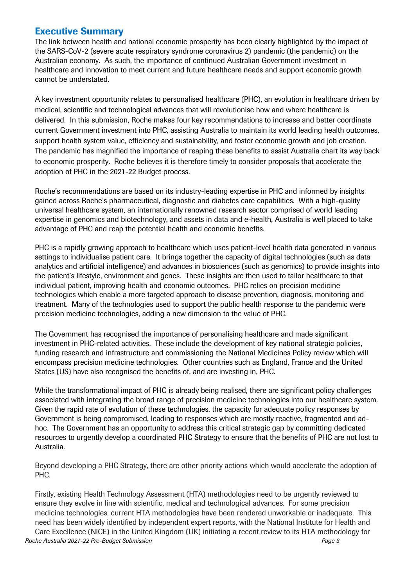## Executive Summary

The link between health and national economic prosperity has been clearly highlighted by the impact of the SARS-CoV-2 (severe acute respiratory syndrome coronavirus 2) pandemic (the pandemic) on the Australian economy. As such, the importance of continued Australian Government investment in healthcare and innovation to meet current and future healthcare needs and support economic growth cannot be understated.

A key investment opportunity relates to personalised healthcare (PHC), an evolution in healthcare driven by medical, scientific and technological advances that will revolutionise how and where healthcare is delivered. In this submission, Roche makes four key recommendations to increase and better coordinate current Government investment into PHC, assisting Australia to maintain its world leading health outcomes, support health system value, efficiency and sustainability, and foster economic growth and job creation. The pandemic has magnified the importance of reaping these benefits to assist Australia chart its way back to economic prosperity. Roche believes it is therefore timely to consider proposals that accelerate the adoption of PHC in the 2021-22 Budget process.

Roche's recommendations are based on its industry-leading expertise in PHC and informed by insights gained across Roche's pharmaceutical, diagnostic and diabetes care capabilities. With a high-quality universal healthcare system, an internationally renowned research sector comprised of world leading expertise in genomics and biotechnology, and assets in data and e-health, Australia is well placed to take advantage of PHC and reap the potential health and economic benefits.

PHC is a rapidly growing approach to healthcare which uses patient-level health data generated in various settings to individualise patient care. It brings together the capacity of digital technologies (such as data analytics and artificial intelligence) and advances in biosciences (such as genomics) to provide insights into the patient's lifestyle, environment and genes. These insights are then used to tailor healthcare to that individual patient, improving health and economic outcomes. PHC relies on precision medicine technologies which enable a more targeted approach to disease prevention, diagnosis, monitoring and treatment. Many of the technologies used to support the public health response to the pandemic were precision medicine technologies, adding a new dimension to the value of PHC.

The Government has recognised the importance of personalising healthcare and made significant investment in PHC-related activities. These include the development of key national strategic policies, funding research and infrastructure and commissioning the National Medicines Policy review which will encompass precision medicine technologies. Other countries such as England, France and the United States (US) have also recognised the benefits of, and are investing in, PHC.

While the transformational impact of PHC is already being realised, there are significant policy challenges associated with integrating the broad range of precision medicine technologies into our healthcare system. Given the rapid rate of evolution of these technologies, the capacity for adequate policy responses by Government is being compromised, leading to responses which are mostly reactive, fragmented and adhoc. The Government has an opportunity to address this critical strategic gap by committing dedicated resources to urgently develop a coordinated PHC Strategy to ensure that the benefits of PHC are not lost to Australia.

Beyond developing a PHC Strategy, there are other priority actions which would accelerate the adoption of PHC.

*Roche Australia 2021-22 Pre-Budget Submission Page 3* Firstly, existing Health Technology Assessment (HTA) methodologies need to be urgently reviewed to ensure they evolve in line with scientific, medical and technological advances. For some precision medicine technologies, current HTA methodologies have been rendered unworkable or inadequate. This need has been widely identified by independent expert reports, with the National Institute for Health and Care Excellence (NICE) in the United Kingdom (UK) initiating a recent review to its HTA methodology for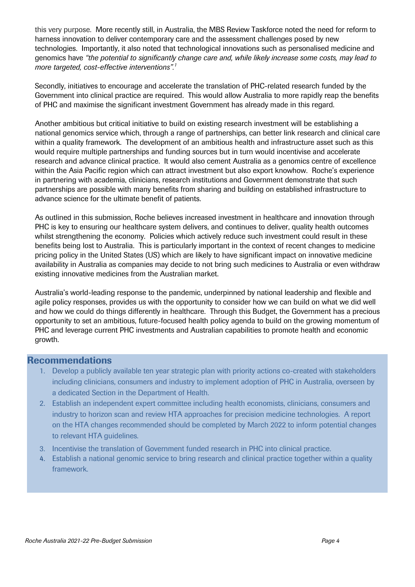this very purpose. More recently still, in Australia, the MBS Review Taskforce noted the need for reform to harness innovation to deliver contemporary care and the assessment challenges posed by new technologies. Importantly, it also noted that technological innovations such as personalised medicine and genomics have *"the potential to significantly change care and, while likely increase some costs, may lead to more targeted, cost-effective interventions".<sup>1</sup>*

Secondly, initiatives to encourage and accelerate the translation of PHC-related research funded by the Government into clinical practice are required. This would allow Australia to more rapidly reap the benefits of PHC and maximise the significant investment Government has already made in this regard.

Another ambitious but critical initiative to build on existing research investment will be establishing a national genomics service which, through a range of partnerships, can better link research and clinical care within a quality framework. The development of an ambitious health and infrastructure asset such as this would require multiple partnerships and funding sources but in turn would incentivise and accelerate research and advance clinical practice. It would also cement Australia as a genomics centre of excellence within the Asia Pacific region which can attract investment but also export knowhow. Roche's experience in partnering with academia, clinicians, research institutions and Government demonstrate that such partnerships are possible with many benefits from sharing and building on established infrastructure to advance science for the ultimate benefit of patients.

As outlined in this submission, Roche believes increased investment in healthcare and innovation through PHC is key to ensuring our healthcare system delivers, and continues to deliver, quality health outcomes whilst strengthening the economy. Policies which actively reduce such investment could result in these benefits being lost to Australia. This is particularly important in the context of recent changes to medicine pricing policy in the United States (US) which are likely to have significant impact on innovative medicine availability in Australia as companies may decide to not bring such medicines to Australia or even withdraw existing innovative medicines from the Australian market.

Australia's world-leading response to the pandemic, underpinned by national leadership and flexible and agile policy responses, provides us with the opportunity to consider how we can build on what we did well and how we could do things differently in healthcare. Through this Budget, the Government has a precious opportunity to set an ambitious, future-focused health policy agenda to build on the growing momentum of PHC and leverage current PHC investments and Australian capabilities to promote health and economic growth.

## Recommendations

- 1. Develop a publicly available ten year strategic plan with priority actions co-created with stakeholders including clinicians, consumers and industry to implement adoption of PHC in Australia, overseen by a dedicated Section in the Department of Health.
- 2. Establish an independent expert committee including health economists, clinicians, consumers and industry to horizon scan and review HTA approaches for precision medicine technologies. A report on the HTA changes recommended should be completed by March 2022 to inform potential changes to relevant HTA guidelines.
- 3. Incentivise the translation of Government funded research in PHC into clinical practice.
- 4. Establish a national genomic service to bring research and clinical practice together within a quality framework.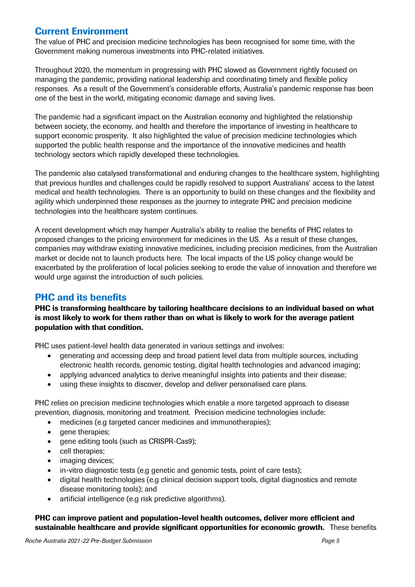# Current Environment

The value of PHC and precision medicine technologies has been recognised for some time, with the Government making numerous investments into PHC-related initiatives.

Throughout 2020, the momentum in progressing with PHC slowed as Government rightly focused on managing the pandemic, providing national leadership and coordinating timely and flexible policy responses. As a result of the Government's considerable efforts, Australia's pandemic response has been one of the best in the world, mitigating economic damage and saving lives.

The pandemic had a significant impact on the Australian economy and highlighted the relationship between society, the economy, and health and therefore the importance of investing in healthcare to support economic prosperity. It also highlighted the value of precision medicine technologies which supported the public health response and the importance of the innovative medicines and health technology sectors which rapidly developed these technologies.

The pandemic also catalysed transformational and enduring changes to the healthcare system, highlighting that previous hurdles and challenges could be rapidly resolved to support Australians' access to the latest medical and health technologies. There is an opportunity to build on these changes and the flexibility and agility which underpinned these responses as the journey to integrate PHC and precision medicine technologies into the healthcare system continues.

A recent development which may hamper Australia's ability to realise the benefits of PHC relates to proposed changes to the pricing environment for medicines in the US. As a result of these changes, companies may withdraw existing innovative medicines, including precision medicines, from the Australian market or decide not to launch products here. The local impacts of the US policy change would be exacerbated by the proliferation of local policies seeking to erode the value of innovation and therefore we would urge against the introduction of such policies.

# PHC and its benefits

#### PHC is transforming healthcare by tailoring healthcare decisions to an individual based on what is most likely to work for them rather than on what is likely to work for the average patient population with that condition.

PHC uses patient-level health data generated in various settings and involves:

- generating and accessing deep and broad patient level data from multiple sources, including electronic health records, genomic testing, digital health technologies and advanced imaging;
- applying advanced analytics to derive meaningful insights into patients and their disease;
- using these insights to discover, develop and deliver personalised care plans.

PHC relies on precision medicine technologies which enable a more targeted approach to disease prevention, diagnosis, monitoring and treatment. Precision medicine technologies include:

- medicines (e.g targeted cancer medicines and immunotherapies);
- gene therapies:
- gene editing tools (such as CRISPR-Cas9);
- cell therapies;
- imaging devices;
- in-vitro diagnostic tests (e.g genetic and genomic tests, point of care tests);
- digital health technologies (e.g clinical decision support tools, digital diagnostics and remote disease monitoring tools); and
- artificial intelligence (e.g risk predictive algorithms).

#### PHC can improve patient and population-level health outcomes, deliver more efficient and sustainable healthcare and provide significant opportunities for economic growth. These benefits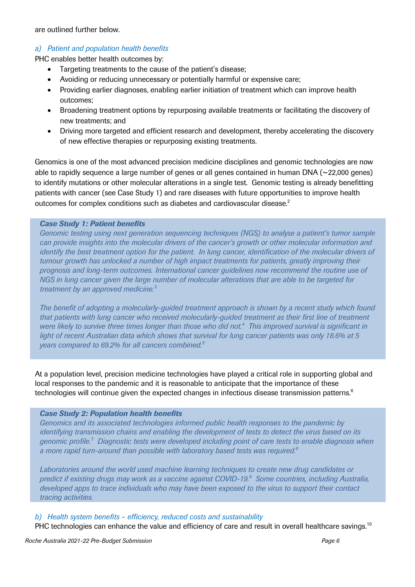are outlined further below.

#### *a) Patient and population health benefits*

PHC enables better health outcomes by:

- Targeting treatments to the cause of the patient's disease;
- Avoiding or reducing unnecessary or potentially harmful or expensive care;
- Providing earlier diagnoses, enabling earlier initiation of treatment which can improve health outcomes;
- Broadening treatment options by repurposing available treatments or facilitating the discovery of new treatments; and
- Driving more targeted and efficient research and development, thereby accelerating the discovery of new effective therapies or repurposing existing treatments.

Genomics is one of the most advanced precision medicine disciplines and genomic technologies are now able to rapidly sequence a large number of genes or all genes contained in human DNA (~22,000 genes) to identify mutations or other molecular alterations in a single test. Genomic testing is already benefitting patients with cancer (see Case Study 1) and rare diseases with future opportunities to improve health outcomes for complex conditions such as diabetes and cardiovascular disease.<sup>2</sup>

#### *Case Study 1: Patient benefits*

*Genomic testing using next generation sequencing techniques (NGS) to analyse a patient's tumor sample can provide insights into the molecular drivers of the cancer's growth or other molecular information and identify the best treatment option for the patient. In lung cancer, identification of the molecular drivers of tumour growth has unlocked a number of high impact treatments for patients, greatly improving their*  prognosis and long-term outcomes. International cancer guidelines now recommend the routine use of *NGS in lung cancer given the large number of molecular alterations that are able to be targeted for treatment by an approved medicine.<sup>3</sup>*

*The benefit of adopting a molecularly-guided treatment approach is shown by a recent study which found that patients with lung cancer who received molecularly-guided treatment as their first line of treatment were likely to survive three times longer than those who did not.<sup>4</sup> This improved survival is significant in light of recent Australian data which shows that survival for lung cancer patients was only 18.6% at 5 years compared to 69.2% for all cancers combined.<sup>5</sup>*

At a population level, precision medicine technologies have played a critical role in supporting global and local responses to the pandemic and it is reasonable to anticipate that the importance of these technologies will continue given the expected changes in infectious disease transmission patterns.<sup>6</sup>

#### *Case Study 2: Population health benefits*

*Genomics and its associated technologies informed public health responses to the pandemic by identifying transmission chains and enabling the development of tests to detect the virus based on its genomic profile.<sup>7</sup> Diagnostic tests were developed including point of care tests to enable diagnosis when a more rapid turn-around than possible with laboratory based tests was required.<sup>8</sup>* 

*Laboratories around the world used machine learning techniques to create new drug candidates or predict if existing drugs may work as a vaccine against COVID-19.<sup>9</sup> Some countries, including Australia, developed apps to trace individuals who may have been exposed to the virus to support their contact tracing activities.*

*b) Health system benefits – efficiency, reduced costs and sustainability* PHC technologies can enhance the value and efficiency of care and result in overall healthcare savings.<sup>10</sup>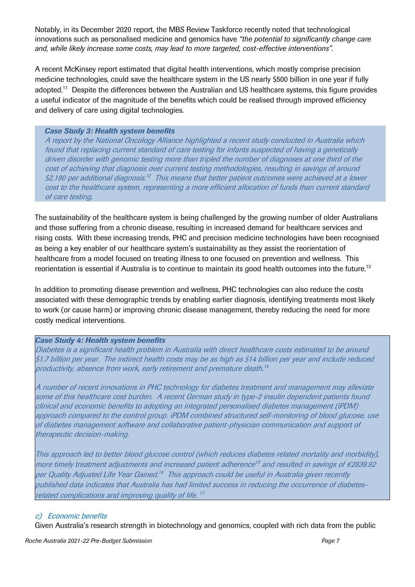Notably, in its December 2020 report, the MBS Review Taskforce recently noted that technological innovations such as personalised medicine and genomics have *"the potential to significantly change care and, while likely increase some costs, may lead to more targeted, cost-effective interventions".*

A recent McKinsey report estimated that digital health interventions, which mostly comprise precision medicine technologies, could save the healthcare system in the US nearly \$500 billion in one year if fully adopted.<sup>11</sup> Despite the differences between the Australian and US healthcare systems, this figure provides a useful indicator of the magnitude of the benefits which could be realised through improved efficiency and delivery of care using digital technologies.

#### *Case Study 3: Health system benefits*

A report by the National Oncology Alliance highlighted a recent study conducted in Australia which found that replacing current standard of care testing for infants suspected of having a genetically driven disorder with genomic testing more than tripled the number of diagnoses at one third of the cost of achieving that diagnosis over current testing methodologies, resulting in savings of around \$2,180 per additional diagnosis.<sup>12</sup> This means that better patient outcomes were achieved at a lower cost to the healthcare system, representing a more efficient allocation of funds than current standard of care testing.

The sustainability of the healthcare system is being challenged by the growing number of older Australians and those suffering from a chronic disease, resulting in increased demand for healthcare services and rising costs. With these increasing trends, PHC and precision medicine technologies have been recognised as being a key enabler of our healthcare system's sustainability as they assist the reorientation of healthcare from a model focused on treating illness to one focused on prevention and wellness. This reorientation is essential if Australia is to continue to maintain its good health outcomes into the future.<sup>13</sup>

In addition to promoting disease prevention and wellness, PHC technologies can also reduce the costs associated with these demographic trends by enabling earlier diagnosis, identifying treatments most likely to work (or cause harm) or improving chronic disease management, thereby reducing the need for more costly medical interventions.

#### *Case Study 4: Health system benefits*

Diabetes is a significant health problem in Australia with direct healthcare costs estimated to be around \$1.7 billion per year. The indirect health costs may be as high as \$14 billion per year and include reduced productivity, absence from work, early retirement and premature death. 14

A number of recent innovations in PHC technology for diabetes treatment and management may alleviate some of this healthcare cost burden. A recent German study in type-2 insulin dependent patients found clinical and economic benefits to adopting an integrated personalised diabetes management (iPDM) approach compared to the control group. iPDM combined structured self-monitoring of blood glucose, use of diabetes management software and collaborative patient-physician communication and support of therapeutic decision-making.

This approach led to better blood glucose control (which reduces diabetes related mortality and morbidity), more timely treatment adjustments and increased patient adherence<sup>15</sup> and resulted in savings of €2839.92 per Quality Adjusted Life Year Gained.<sup>16</sup> This approach could be useful in Australia given recently published data indicates that Australia has had limited success in reducing the occurrence of diabetesrelated complications and improving quality of life. <sup>17</sup>

#### c) Economic benefits

Given Australia's research strength in biotechnology and genomics, coupled with rich data from the public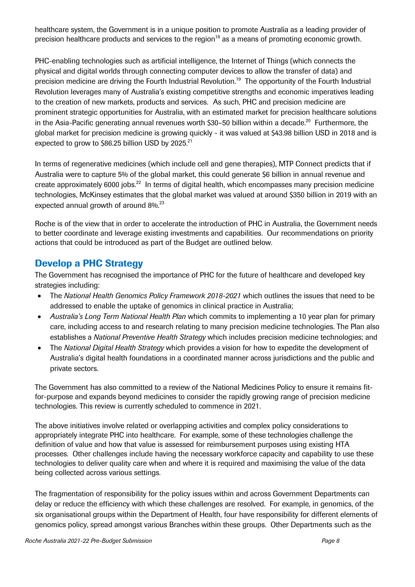healthcare system, the Government is in a unique position to promote Australia as a leading provider of precision healthcare products and services to the region $18$  as a means of promoting economic growth.

PHC-enabling technologies such as artificial intelligence, the Internet of Things (which connects the physical and digital worlds through connecting computer devices to allow the transfer of data) and precision medicine are driving the Fourth Industrial Revolution.<sup>19</sup> The opportunity of the Fourth Industrial Revolution leverages many of Australia's existing competitive strengths and economic imperatives leading to the creation of new markets, products and services. As such, PHC and precision medicine are prominent strategic opportunities for Australia, with an estimated market for precision healthcare solutions in the Asia-Pacific generating annual revenues worth \$30-50 billion within a decade.<sup>20</sup> Furthermore, the global market for precision medicine is growing quickly - it was valued at \$43.98 billion USD in 2018 and is expected to grow to \$86.25 billion USD by 2025. $^{21}$ 

In terms of regenerative medicines (which include cell and gene therapies), MTP Connect predicts that if Australia were to capture 5% of the global market, this could generate \$6 billion in annual revenue and create approximately 6000 jobs.<sup>22</sup> In terms of digital health, which encompasses many precision medicine technologies, McKinsey estimates that the global market was valued at around \$350 billion in 2019 with an expected annual growth of around 8%.<sup>23</sup>

Roche is of the view that in order to accelerate the introduction of PHC in Australia, the Government needs to better coordinate and leverage existing investments and capabilities. Our recommendations on priority actions that could be introduced as part of the Budget are outlined below.

# Develop a PHC Strategy

The Government has recognised the importance of PHC for the future of healthcare and developed key strategies including:

- The *National Health Genomics Policy Framework 2018-2021* which outlines the issues that need to be addressed to enable the uptake of genomics in clinical practice in Australia;
- *Australia's Long Term National Health Plan* which commits to implementing a 10 year plan for primary care, including access to and research relating to many precision medicine technologies. The Plan also establishes a *National Preventive Health Strategy* which includes precision medicine technologies; and
- The *National Digital Health Strategy* which provides a vision for how to expedite the development of Australia's digital health foundations in a coordinated manner across jurisdictions and the public and private sectors.

The Government has also committed to a review of the National Medicines Policy to ensure it remains fitfor-purpose and expands beyond medicines to consider the rapidly growing range of precision medicine technologies. This review is currently scheduled to commence in 2021.

The above initiatives involve related or overlapping activities and complex policy considerations to appropriately integrate PHC into healthcare. For example, some of these technologies challenge the definition of value and how that value is assessed for reimbursement purposes using existing HTA processes. Other challenges include having the necessary workforce capacity and capability to use these technologies to deliver quality care when and where it is required and maximising the value of the data being collected across various settings.

The fragmentation of responsibility for the policy issues within and across Government Departments can delay or reduce the efficiency with which these challenges are resolved. For example, in genomics, of the six organisational groups within the Department of Health, four have responsibility for different elements of genomics policy, spread amongst various Branches within these groups. Other Departments such as the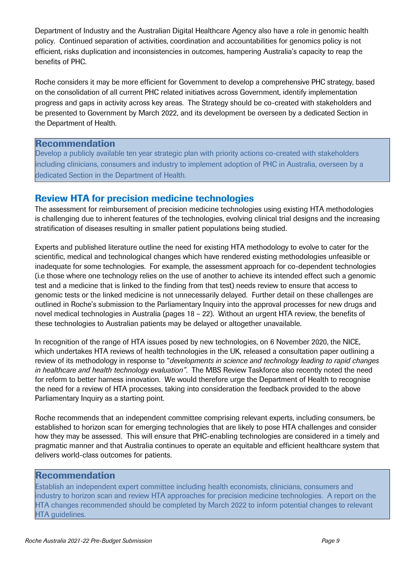Department of Industry and the Australian Digital Healthcare Agency also have a role in genomic health policy. Continued separation of activities, coordination and accountabilities for genomics policy is not efficient, risks duplication and inconsistencies in outcomes, hampering Australia's capacity to reap the benefits of PHC.

Roche considers it may be more efficient for Government to develop a comprehensive PHC strategy, based on the consolidation of all current PHC related initiatives across Government, identify implementation progress and gaps in activity across key areas. The Strategy should be co-created with stakeholders and be presented to Government by March 2022, and its development be overseen by a dedicated Section in the Department of Health.

## Recommendation

Develop a publicly available ten year strategic plan with priority actions co-created with stakeholders including clinicians, consumers and industry to implement adoption of PHC in Australia, overseen by a dedicated Section in the Department of Health.

## Review HTA for precision medicine technologies

The assessment for reimbursement of precision medicine technologies using existing HTA methodologies is challenging due to inherent features of the technologies, evolving clinical trial designs and the increasing stratification of diseases resulting in smaller patient populations being studied.

Experts and published literature outline the need for existing HTA methodology to evolve to cater for the scientific, medical and technological changes which have rendered existing methodologies unfeasible or inadequate for some technologies. For example, the assessment approach for co-dependent technologies (i.e those where one technology relies on the use of another to achieve its intended effect such a genomic test and a medicine that is linked to the finding from that test) needs review to ensure that access to genomic tests or the linked medicine is not unnecessarily delayed. Further detail on these challenges are outlined in Roche's submission to the Parliamentary Inquiry into the approval processes for new drugs and novel medical technologies in Australia (pages 18 – 22). Without an urgent HTA review, the benefits of these technologies to Australian patients may be delayed or altogether unavailable.

In recognition of the range of HTA issues posed by new technologies, on 6 November 2020, the NICE, which undertakes HTA reviews of health technologies in the UK, released a consultation paper outlining a review of its methodology in response to "*developments in science and technology leading to rapid changes in healthcare and health technology evaluation"*. The MBS Review Taskforce also recently noted the need for reform to better harness innovation. We would therefore urge the Department of Health to recognise the need for a review of HTA processes, taking into consideration the feedback provided to the above Parliamentary Inquiry as a starting point.

Roche recommends that an independent committee comprising relevant experts, including consumers, be established to horizon scan for emerging technologies that are likely to pose HTA challenges and consider how they may be assessed. This will ensure that PHC-enabling technologies are considered in a timely and pragmatic manner and that Australia continues to operate an equitable and efficient healthcare system that delivers world-class outcomes for patients.

## Recommendation

Establish an independent expert committee including health economists, clinicians, consumers and industry to horizon scan and review HTA approaches for precision medicine technologies. A report on the HTA changes recommended should be completed by March 2022 to inform potential changes to relevant HTA guidelines.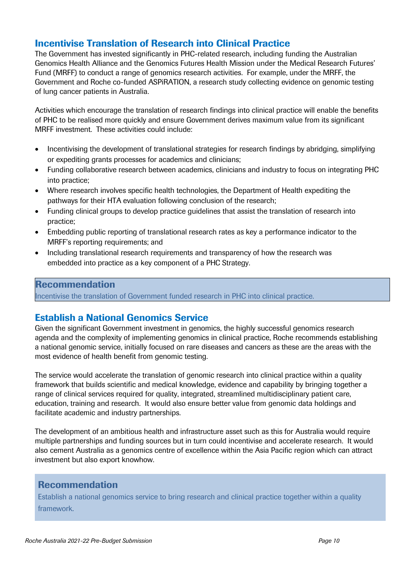# Incentivise Translation of Research into Clinical Practice

The Government has invested significantly in PHC-related research, including funding the Australian Genomics Health Alliance and the Genomics Futures Health Mission under the Medical Research Futures' Fund (MRFF) to conduct a range of genomics research activities. For example, under the MRFF, the Government and Roche co-funded ASPiRATION, a research study collecting evidence on genomic testing of lung cancer patients in Australia.

Activities which encourage the translation of research findings into clinical practice will enable the benefits of PHC to be realised more quickly and ensure Government derives maximum value from its significant MRFF investment. These activities could include:

- Incentivising the development of translational strategies for research findings by abridging, simplifying or expediting grants processes for academics and clinicians;
- Funding collaborative research between academics, clinicians and industry to focus on integrating PHC into practice;
- Where research involves specific health technologies, the Department of Health expediting the pathways for their HTA evaluation following conclusion of the research;
- Funding clinical groups to develop practice guidelines that assist the translation of research into practice;
- Embedding public reporting of translational research rates as key a performance indicator to the MRFF's reporting requirements; and
- Including translational research requirements and transparency of how the research was embedded into practice as a key component of a PHC Strategy.

## Recommendation

Incentivise the translation of Government funded research in PHC into clinical practice.

## Establish a National Genomics Service

Given the significant Government investment in genomics, the highly successful genomics research agenda and the complexity of implementing genomics in clinical practice, Roche recommends establishing a national genomic service, initially focused on rare diseases and cancers as these are the areas with the most evidence of health benefit from genomic testing.

The service would accelerate the translation of genomic research into clinical practice within a quality framework that builds scientific and medical knowledge, evidence and capability by bringing together a range of clinical services required for quality, integrated, streamlined multidisciplinary patient care, education, training and research. It would also ensure better value from genomic data holdings and facilitate academic and industry partnerships.

The development of an ambitious health and infrastructure asset such as this for Australia would require multiple partnerships and funding sources but in turn could incentivise and accelerate research. It would also cement Australia as a genomics centre of excellence within the Asia Pacific region which can attract investment but also export knowhow.

## Recommendation

Establish a national genomics service to bring research and clinical practice together within a quality framework.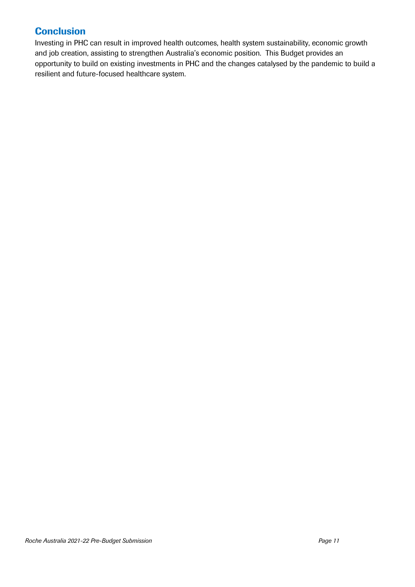# **Conclusion**

Investing in PHC can result in improved health outcomes, health system sustainability, economic growth and job creation, assisting to strengthen Australia's economic position. This Budget provides an opportunity to build on existing investments in PHC and the changes catalysed by the pandemic to build a resilient and future-focused healthcare system.